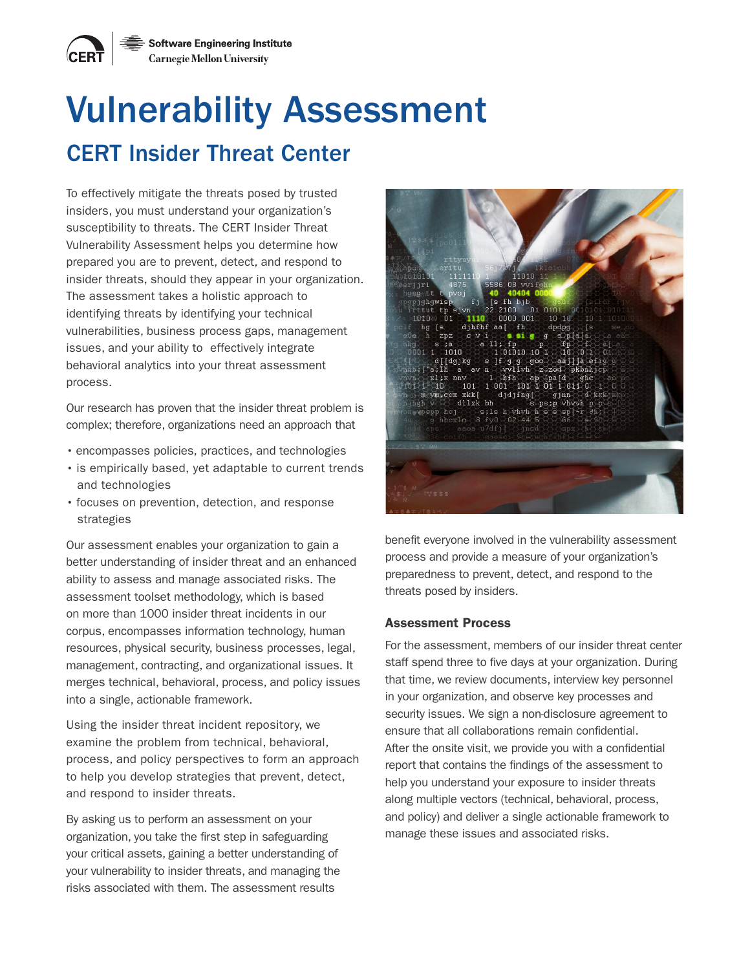# Vulnerability Assessment CERT Insider Threat Center

To effectively mitigate the threats posed by trusted insiders, you must understand your organization's susceptibility to threats. The CERT Insider Threat Vulnerability Assessment helps you determine how prepared you are to prevent, detect, and respond to insider threats, should they appear in your organization. The assessment takes a holistic approach to identifying threats by identifying your technical vulnerabilities, business process gaps, management issues, and your ability to effectively integrate behavioral analytics into your threat assessment process.

Our research has proven that the insider threat problem is complex; therefore, organizations need an approach that

- encompasses policies, practices, and technologies
- is empirically based, yet adaptable to current trends and technologies
- focuses on prevention, detection, and response strategies

Our assessment enables your organization to gain a better understanding of insider threat and an enhanced ability to assess and manage associated risks. The assessment toolset methodology, which is based on more than 1000 insider threat incidents in our corpus, encompasses information technology, human resources, physical security, business processes, legal, management, contracting, and organizational issues. It merges technical, behavioral, process, and policy issues into a single, actionable framework.

Using the insider threat incident repository, we examine the problem from technical, behavioral, process, and policy perspectives to form an approach to help you develop strategies that prevent, detect, and respond to insider threats.

By asking us to perform an assessment on your organization, you take the first step in safeguarding your critical assets, gaining a better understanding of your vulnerability to insider threats, and managing the risks associated with them. The assessment results



benefit everyone involved in the vulnerability assessment process and provide a measure of your organization's preparedness to prevent, detect, and respond to the threats posed by insiders.

## Assessment Process

For the assessment, members of our insider threat center staff spend three to five days at your organization. During that time, we review documents, interview key personnel in your organization, and observe key processes and security issues. We sign a non-disclosure agreement to ensure that all collaborations remain confidential. After the onsite visit, we provide you with a confidential report that contains the findings of the assessment to help you understand your exposure to insider threats along multiple vectors (technical, behavioral, process, and policy) and deliver a single actionable framework to manage these issues and associated risks.